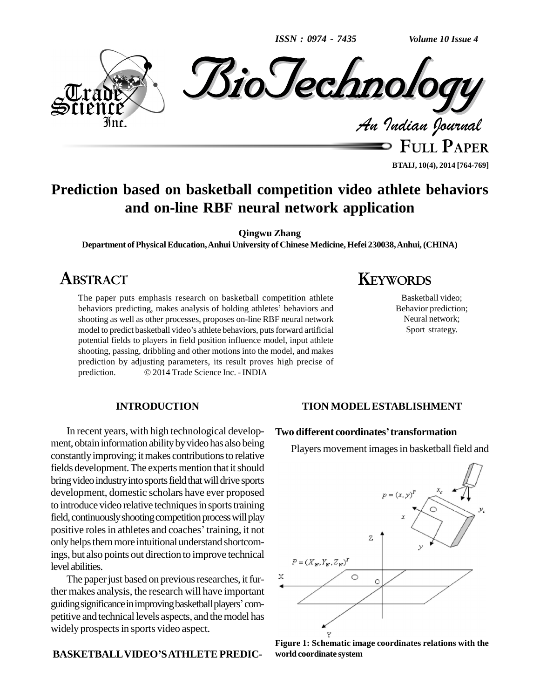*ISSN : 0974 - 7435*

*Volume 10 Issue 4*



**FULL PAPER BTAIJ, 10(4), 2014 [764-769]**

### **Prediction based on basketball competition video athlete behaviors and on-line RBF neural network application**

**Qingwu Zhang**

**Department ofPhysicalEducation,Anhui University of Chinese Medicine, Hefei 230038,Anhui,(CHINA)**

### **ABSTRACT**

The paper puts emphasis research on basketball competition athlete behaviors predicting, makes analysis of holding athletes' behaviors and behaviors predicting, makes analysis of holding athletes' behaviors and shooting as well as other processes, proposes on-line RBF neural network behaviors predicting, makes analysis of holding athletes' behaviors and<br>shooting as well as other processes, proposes on-line RBF neural network<br>model to predict basketball video's athlete behaviors, puts forward artificia potential fields to players in field position influence model, input athlete shooting, passing, dribbling and other motions into the model, and makes prediction by adjusting parameters, its result proves high precise of shooting, passing, dribbling and other motions into the model, and r<br>prediction by adjusting parameters, its result proves high preci<br>prediction. © 2014 Trade Science Inc. - INDIA

# **KEYWORDS**

Basketball video; Behavior prediction; Neural network; Sport strategy.

#### **INTRODUCTION**

In recent years, with high technological develop ment, obtain information ability by video has also being constantly improving; it makes contributions to relative fields development. The experts mention that it should bring video industry into sports field that will drive sports development, domestic scholars have ever proposed to introduce video relative techniques in sports training<br>field, continuously shooting competition process will play<br>positive roles in athletes and coaches' training, it not field, continuously shooting competition process will play only helps them more intuitional understand shortcomings, but also points out direction to improve technical level abilities.

The paper just based on previous researches, it further makes analysis, the research will have important The paper just based on previous researches, it further makes analysis, the research will have important guiding significance in improving basketball players' competitive and technical levels aspects, and themodel has widely prospects in sports video aspect.

#### **BASKETBALLVIDEOíSATHLETEPREDIC-**

#### **TION MODELESTABLISHMENT**

#### **Two different coordinatesítransformation**

Players movement images in basketball field and



**Figure 1: Schematic image coordinates relations with the world coordinate system**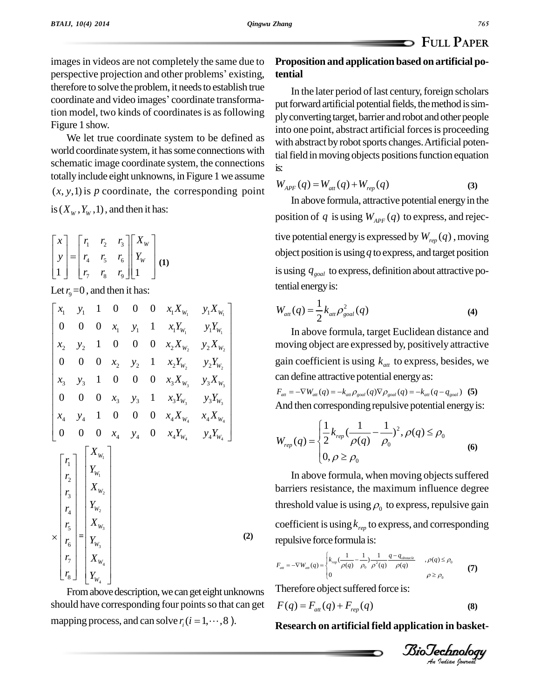images in videos are not completely the same due to Propos images in videos are not completely the same due to Pr<br>perspective projection and other problems' existing, te therefore to solve the problem, it needs to establish true perspective projection and other problems' existing,<br>therefore to solve the problem, it needs to establish true<br>coordinate and video images' coordinate transformation model, two kinds of coordinates is as following Figure 1 show.

We let true coordinate system to be defined as world coordinate system, it has some connections with schematic image coordinate system, the connections totallyinclude eight unknowns, in Figure 1 we assume  $(x, y, 1)$  is p coordinate, the corresponding point is  $(X_w, Y_w, 1)$ , and then it has:<br> $\begin{bmatrix} x \\ \end{bmatrix} \begin{bmatrix} r_1 & r_2 & r_3 \end{bmatrix} \begin{bmatrix} X_w \\ \end{bmatrix}$ 

$$
\begin{bmatrix} x \\ y \\ 1 \end{bmatrix} = \begin{bmatrix} r_1 & r_2 & r_3 \\ r_4 & r_5 & r_6 \\ r_7 & r_8 & r_9 \end{bmatrix} \begin{bmatrix} X_w \\ Y_w \\ 1 \end{bmatrix} (1)
$$

Let  $r<sub>9</sub>=0$  , and then it has:  $\overline{a}$ 

Let 
$$
r_9 = 0
$$
, and then it has:  
\n
$$
\begin{bmatrix}\nx_1 & y_1 & 1 & 0 & 0 & 0 & x_1 X_{w_1} & y_1 X_{w_1} \\
0 & 0 & 0 & x_1 & y_1 & 1 & x_1 Y_{w_1} & y_1 Y_{w_1} \\
x_2 & y_2 & 1 & 0 & 0 & 0 & x_2 X_{w_2} & y_2 X_{w_2} \\
0 & 0 & 0 & x_2 & y_2 & 1 & x_2 Y_{w_2} & y_2 Y_{w_2} \\
x_3 & y_3 & 1 & 0 & 0 & 0 & x_3 X_{w_3} & y_3 X_{w_3} \\
0 & 0 & 0 & x_3 & y_3 & 1 & x_3 Y_{w_3} & y_3 Y_{w_3} \\
x_4 & y_4 & 1 & 0 & 0 & 0 & x_4 X_{w_4} & x_4 X_{w_4} \\
0 & 0 & 0 & x_4 & y_4 & 0 & x_4 Y_{w_4} & y_4 Y_{w_4}\n\end{bmatrix}
$$
\n
$$
\begin{bmatrix}\nr_1 \\
r_2 \\
r_3 \\
r_4 \\
r_5 \\
r_6 \\
r_7\n\end{bmatrix}\n\begin{bmatrix}\nX_{w_1} \\
Y_{w_1} \\
Y_{w_2} \\
Y_{w_3} \\
Y_{w_4}\n\end{bmatrix}
$$
\n
$$
\times \begin{bmatrix}\nr_1 \\
r_2 \\
r_3 \\
r_4 \\
r_5 \\
r_6 \\
r_7\n\end{bmatrix}\n\begin{bmatrix}\nX_{w_1} \\
Y_{w_2} \\
Y_{w_3} \\
Y_{w_4}\n\end{bmatrix}
$$
\n
$$
(2)
$$

From above description, we can get eight unknowns should have corresponding four points so that can get mapping process, and can solve  $r_i$  ( $i = 1, \dots, 8$ ).

#### **Proposition and application based on artificial potential**

In the later period of last century, foreign scholars put forward artificial potential fields, the method is simplyconvertingtarget, barrier and robot and other people into one point, abstract artificial forces is proceeding with abstract by robot sports changes. Artificial potential field in moving objects positions function equation<br>is:<br> $W_{APF}(q) = W_{at}(q) + W_{rep}(q)$  (3) is:

$$
W_{APF}(q) = W_{at}(q) + W_{rep}(q)
$$
 (3)

In above formula, attractive potential energy in the position of *q* is using  $W_{APF}(q)$  to express, and rejective potential energy is expressed by  $W_{rep}(q)$ , moving object position isusing*q* to express, and target position is using  $q_{\text{goal}}$  to express, definition about attractive potential energy is:

tential energy is:  
\n
$$
W_{at}(q) = \frac{1}{2} k_{at} \rho_{goal}^2(q)
$$
\n(4)

In above formula, target Euclidean distance and moving object are expressed by, positively attractive gain coefficient is using  $k_{\text{att}}$  to express, besides, we can define attractive potential energyas:

 $F_{att} = -\nabla W_{att}(q) = -k_{att}\rho_{goal}(q)\nabla\rho_{goal}(q) = -k_{att}(q - q_{goal})$  (5) And then corresponding repulsive potential energy is:

And then corresponding repulsive potential energy is:  
\n
$$
W_{rep}(q) = \begin{cases} \frac{1}{2} k_{rep} (\frac{1}{\rho(q)} - \frac{1}{\rho_0})^2, \rho(q) \le \rho_0 \\ 0, \rho \ge \rho_0 \end{cases}
$$
\n(6)

In above formula, when moving objects suffered barriers resistance, the maximum influence degree threshold value is using  $\rho_{\scriptscriptstyle 0}$  to express, repulsive gain coefficient is using  $k_{rep}$  to express, and corresponding repulsive force formula is:<br> $\begin{bmatrix} 1 & 1 & 1 & q-q_{\text{start}} \\ q & q & q_{\text{start}} \end{bmatrix}$ 

Eplusive force formula as:  
\n
$$
F_{\text{att}} = -\nabla W_{\text{att}}(q) = \begin{cases} k_{\text{rep}} \left( \frac{1}{\rho(q)} - \frac{1}{\rho_0} \right) \frac{1}{\rho^2(q)} \frac{q - q_{\text{obstactic}}}{\rho(q)} & , \rho(q) \le \rho_0 \\ 0 & \rho \ge \rho_0 \end{cases}
$$
\n(7)

Therefore object suffered force is:

Therefore object suffered force is:  
\n
$$
F(q) = F_{at}(q) + F_{rep}(q)
$$
\n(8)

**Research on artificial field application in basket-**

*Indian Journal*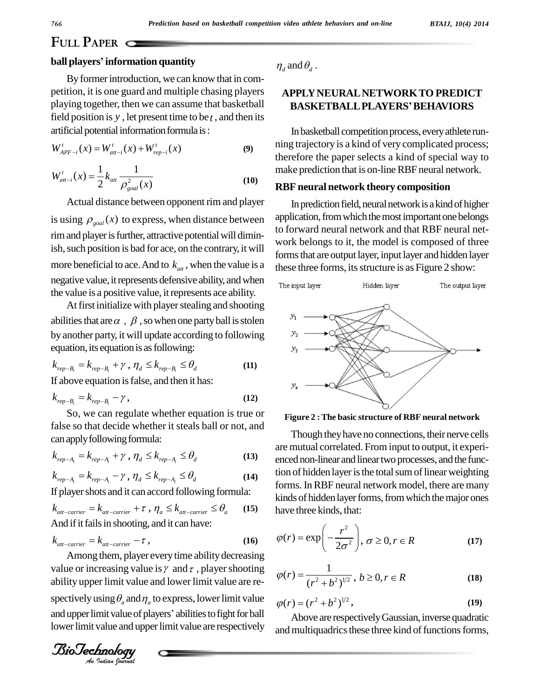### **FULL PAPER**

#### **ball playersíinformation quantity**

Byformerintroduction, we can know that in com petition, it is one guard and multiple chasing players playing together, then we can assume that basketball field position is y, let present time to be  $t$ , and then its artificial potential information formula is: *t t t t t t t W*<sub>*d*</sub>*t*<sub>*r*</sub><sub>*t*</sub> *t t W*<sub>*d*</sub>*t*<sub>*r*</sub><sub>*t*</sub> *(x) +W*<sub>*dr*<sub>*ep*-*i*</sub> (*x*) *+W*<sub>*rep*-*i*</sub> (*x*)</sub>

$$
W_{APF-i}^{t}(x) = W_{att-i}^{t}(x) + W_{rep-i}^{t}(x)
$$
\n(9)

$$
W_{APF-i}^{t}(x) = W_{at-i}^{t}(x) + W_{rep-i}^{t}(x)
$$
\n(9) t  
\n
$$
W_{at-i}^{t}(x) = \frac{1}{2} k_{at} \frac{1}{\rho_{goal}^{2}(x)}
$$
\n(10) F

Actual distance between opponent rim and player is using  $\rho_{goal}(x)$  to express, when distance between applica rim and player is further, attractive potential will diminish, such position is bad for ace, on the contrary, it will more beneficial to ace. And to  $k_{at}$ , when the value is a negative value, it represents defensive ability, and when The input layer the value is a positive value, itrepresents ace ability.

At first initialize with player stealing and shooting abilities that are  $\alpha$ ,  $\beta$ , so when one party ball is stolen by another party, it will update according to following  $\frac{y_2}{y_3}$ <br>equation, its equation is as following:  $\frac{y_3}{y_3}$ <br> $k_{rep-B_i} = k_{rep-B_i} + \gamma$ ,  $\eta_d \le k_{rep-B_i} \le \theta_d$  (11) equation, its equation is as following: by another party, it will update<br>equation, its equation is as for <br> $k_{rep-B_i} = k_{rep-B_i} + \gamma$  ,  $\eta_d \le k$ ,

$$
k_{rep-B_i} = k_{rep-B_i} + \gamma, \eta_d \le k_{rep-B_i} \le \theta_d
$$
 (11)  
If above equation is false, and then it has:  

$$
k_{rep-B_i} = k_{rep-B_i} - \gamma,
$$
 (12)

So, we can regulate whether equation is true or false so that decide whether it steals ball or not, and<br>
can apply following formula:<br>  $k_{rep-A_i} = k_{rep-A_i} + \gamma$ ,  $\eta_d \le k_{rep-A_i} \le \theta_d$  (13) enced n can apply following formula: ralse so that decide whether<br>can apply following formula:<br> $k_{rep-A_i} = k_{rep-A_i} + \gamma$ ,  $\eta_d \le k$ ,

$$
k_{rep-A_i} = k_{rep-A_i} + \gamma, \eta_d \le k_{rep-A_i} \le \theta_d
$$
\n(13)

$$
k_{rep-A_i} = k_{rep-A_i} + \gamma, \eta_d \le k_{rep-A_i} \le \theta_d
$$
\n
$$
k_{rep-A_i} = k_{rep-A_i} - \gamma, \eta_d \le k_{rep-A_i} \le \theta_d
$$
\n
$$
(13)
$$
\n
$$
(14)
$$

If player shots and it can accord following formula:

$$
k_{rep-A_i} = k_{rep-A_i} \qquad \qquad (14)
$$
\nIf player shots and it can accord following formula:\n
$$
k_{att-carrier} = k_{att-carrier} + \tau, \quad \eta_a \le k_{att-carrier} \le \theta_a \qquad (15)
$$
\nAnd if it fails in shooting, and it can have:\n
$$
k_{att-carrier} = k_{att-carrier} - \tau,
$$
\n(16)

$$
k_{\text{att-carrier}} = k_{\text{att-carrier}} - \tau, \qquad (16)
$$

For the carrier of the carrier of the carrier of the carrier of the Among them, player every time ability decreasing ability upper limit value and lower limit value are re- $\sinh \theta_a$  and  $\eta$ <br>*Init value of p*<br>*Value and upp*<br>*Inology* value or increasing value is  $\gamma$  and  $\tau$ , player shooting spectively using  $\theta_a$  and  $\eta_a$  to express, lower limit value  $\theta_a(r)$ . ability upper limit value and lower limit value are re-<br>spectively using  $\theta_a$  and  $\eta_a$  to express, lower limit value  $\phi$ <br>and upper limit value of players' abilities to fight for ball lower limit value and upper limit value are respectively

 $\eta_d$  and  $\theta_d$ .

## **APPLYNEURALNETWORKTO PREDICT BASKETBALLPLAYERSíBEHAVIORS**

In basketball competition process, every athlete running trajectory is a kind of very complicated process; therefore the paper selects a kind of special way to make prediction that is on-line RBF neural network.

#### **RBF neural network theory composition**

In prediction field, neural network is a kind of higher application, from which the most important one belongs to forward neural network and that RBF neural network belongs to it, the model is composed of three forms that are output layer, input layer and hidden layer these three forms, its structure is as Figure 2 show:



**Figure 2 : The basic structure of RBF neural network**

Though they have no connections, their nerve cells are mutual correlated. From input to output, it experi enced non-linear and linear two processes, and the function of hidden layer is the total sum of linear weighting forms. InRBF neural network model, there are many kinds of hidden layer forms, from which the major ones have three kinds, that:<br> $\left(r^2\right)$ 

have three kinds, that:  
\n
$$
\varphi(r) = \exp\left(-\frac{r^2}{2\sigma^2}\right), \sigma \ge 0, r \in R
$$
\n(17)

$$
(2\sigma^2)^{y-2} = 0, \quad \text{or} \quad (27)
$$
\n
$$
\varphi(r) = \frac{1}{(r^2 + b^2)^{1/2}}, \quad b \ge 0, r \in R
$$
\n
$$
\varphi(r) = (r^2 + b^2)^{1/2}, \quad (19)
$$

$$
\varphi(r) = (r^2 + b^2)^{1/2},\tag{19}
$$

Above are respectively Gaussian, inverse quadratic and multiquadrics these three kind of functions forms,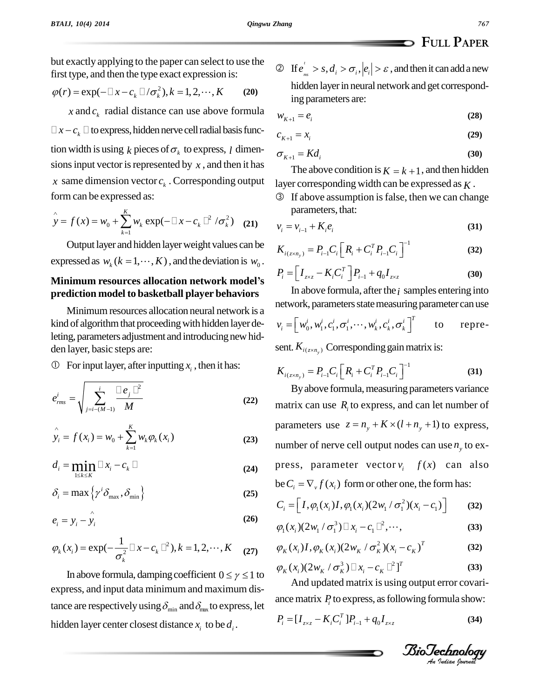but exactly applying to the paper can select to use the first type, and then the type exact expression is: but exactly applying to the paper can select to use the<br>first type, and then the type exact expression is:<br> $\varphi(r) = \exp(-\Box x - c_k \Box / \sigma_k^2), k = 1, 2, \cdots, K$  (20)

$$
\varphi(r) = \exp(-\Box x - c_k \Box/\sigma_k^2), k = 1, 2, \cdots, K \qquad (20)
$$

 $x$  and  $c_k$  radial distance can use above formula  $\Box x - c_k \Box$  to express, hidden nerve cell radial basis function width is using  $k$  pieces of  $\sigma_k$  to express, *l* dimensions input vector is represented by  $x$ , and then it has *x* same dimension vector  $c_k$ . Corresponding output lay<br>
form can be expressed as: <br>  $\hat{y} = f(x) = w_0 + \sum_{k=1}^{K} w_k \exp(-\Box x - c_k \Box^2 / \sigma_k^2)$  (21)  $v_i$ form can be expressed as:

$$
\hat{y} = f(x) = w_0 + \sum_{k=1}^{K} w_k \exp(-\Box x - c_k \Box^2 / \sigma_k^2)
$$
 (21)

Output layer and hidden layerweight values can be Output layer and hidden layer weight values can be<br>  $K_{i(z)}$ <br>
expressed as  $w_k$  ( $k = 1, \dots, K$ ), and the deviation is  $w_0$ .<br> **Minimum resources allocation network model's** 

# **prediction model to basketball player behaviors**

Minimum resources allocation neural network is a kind of algorithm that proceeding with hidden layer deleting, parameters adjustment and introducing new hidden layer, basic steps are:

 $\circled{1}$  For input layer, after inputting  $x_i$ , then it has:

① For input layer, after inputting 
$$
x_i
$$
, then it has:  
\n
$$
e_{rms}^i = \sqrt{\sum_{j=i-(M-1)}^i \frac{\Box e_j \Box^2}{M}}
$$
\n(22) 
$$
y_i = f(x_i) = w_0 + \sum_{k=1}^K w_k \varphi_k(x_i)
$$
\n(23) 
$$
n
$$

$$
\hat{y}_i = f(x_i) = w_0 + \sum_{k=1}^{K} w_k \varphi_k(x_i)
$$
\n(23)

$$
y_i = f(x_i) = w_0 + \sum_{k=1} w_k \varphi_k(x_i)
$$
\n
$$
d_i = \min_{1 \le k \le K} \Box x_i - c_k \Box
$$
\n
$$
\delta_i = \max \{ \gamma^i \delta_{\max}, \delta_{\min} \}
$$
\n(25)

$$
\delta_i = \max \left\{ \gamma^i \delta_{\max}, \delta_{\min} \right\}
$$
\n
$$
e = \gamma - \hat{\gamma}.
$$
\n(26)

$$
e_i = y_i - \hat{y}_i
$$
 (26)

$$
e_i = y_i - y_i
$$
\n
$$
\varphi_k(x_i) = \exp(-\frac{1}{\sigma_k^2} \Box x - c_k \Box^2), k = 1, 2, \cdots, K
$$
\n
$$
\varphi_k(x_i) = \exp(-\frac{1}{\sigma_k^2} \Box x - c_k \Box^2), k = 1, 2, \cdots, K
$$
\n
$$
\varphi_k(x_i) = \exp(-\frac{1}{\sigma_k^2} \Box x - c_k \Box^2), k = 1, 2, \cdots, K
$$
\n
$$
\varphi_k(x_i) = \exp(-\frac{1}{\sigma_k^2} \Box x - c_k \Box^2), k = 1, 2, \cdots, K
$$

In above formula, damping coefficient  $0 \le \gamma \le 1$  to express, and input data minimum and maximum distance are respectively using  $\delta_{\min}$  and  $\delta_{\max}$  to express, let hidden layer center closest distance  $x_i$  to be  $d_i$ .

 If , , *tms <sup>i</sup> <sup>i</sup> <sup>i</sup> <sup>e</sup> <sup>s</sup> <sup>d</sup> <sup>e</sup>* , andthenit canaddanew hidden layer in neural network and get correspond-<br>ing parameters are:<br> $w_{K+1} = e_i$  (28) ing parameters are:

$$
w_{K+1} = e_i
$$
\n
$$
c_{K+1} = x_i
$$
\n(29)

$$
c_{K+1} = x_i \tag{29}
$$

$$
c_{K+1} = x_i
$$
\n
$$
\sigma_{K+1} = K d_i
$$
\n(29)\n(30)

The above condition is  $K = k + 1$ , and then hidden

layer corresponding width can be expressed as  $K$ .<br><sup>③</sup> If above assumption is false, then we can change parameters, that: *3* If above assumption is false, then we can change<br>parameters, that:<br> $v_i = v_{i-1} + K_i e_i$  (31)

$$
v_i = v_{i-1} + K_i e_i
$$
\n
$$
K_{i(\gamma \times n)} = P_{i-1} C_i \left[ R_i + C_i^T P_{i-1} C_i \right]^{-1}
$$
\n(31)

$$
v_i = v_{i-1} + K_i e_i
$$
(31)  

$$
K_{i(z \times n_y)} = P_{i-1} C_i \left[ R_i + C_i^T P_{i-1} C_i \right]^{-1}
$$
(32)  

$$
P_i = \left[ I_{z \times z} - K_i C_i^T \right] P_{i-1} + q_0 I_{z \times z}
$$
(30)

$$
P_i = \left[I_{z \times z} - K_i C_i^T\right] P_{i-1} + q_0 I_{z \times z}
$$
 (30)

In above formula, after the  $i$  samples entering into

network, parameters state measuring parameter can use  
\n
$$
v_i = [w_0^i, w_1^i, c_1^i, \sigma_1^i, \cdots, w_k^i, c_k^i, \sigma_k^i]^T
$$
 to repre-  
\nsent.  $K_{i(z \times n_y)}$  Corresponding gain matrix is:

sent. 
$$
K_{i(z \times n_y)}
$$
 Corresponding gain matrix is:  
\n
$$
K_{i(z \times n_y)} = P_{i-1} C_i \left[ R_i + C_i^T P_{i-1} C_i \right]^{-1}
$$
\n(31)

By above formula, measuring parameters variance matrix can use *R<sup>i</sup>* to express, and can let number of matrix can use  $R_i$  to express, and can let number of parameters use  $z = n_y + K \times (l + n_y + 1)$  to express, number of nerve cell output nodes can use  $n_v$  to express, parameter vector  $v_i$   $f(x)$  can also press, parameter vector  $v_i$   $f(x)$  can also<br>be  $C_i = \nabla_v f(x_i)$  form or other one, the form has: be  $C_i = \nabla_v f(x_i)$  form or other one, the form has:<br>  $C_i = \left[ I, \varphi_1(x_i)I, \varphi_1(x_i)(2w_1/\sigma_1^2)(x_i - c_1) \right]$  (3)

$$
C_i = \left[I, \varphi_1(x_i)I, \varphi_1(x_i)(2w_1/\sigma_1^2)(x_i - c_1)\right]
$$
 (32)  

$$
\varphi_1(x_i)(2w_1/\sigma_1^3) \Box x_i - c_1 \Box^2, \cdots,
$$
 (33)

$$
\varphi_1(x_i)(2w_1/\sigma_1^3) \Box x_i - c_1 \Box^2, \cdots,
$$
\n
$$
\varphi_K(x_i)I, \varphi_K(x_i)(2w_K/\sigma_K^2)(x_i - c_K)^T
$$
\n(32)

$$
\varphi_K(x_i)I, \varphi_K(x_i)(2w_K/\sigma_K^2)(x_i - c_K)^T
$$
\n
$$
\varphi_K(x_i)(2w_K/\sigma_K^3) \Box x_i - c_K \Box^2]^T
$$
\n(33)

$$
\varphi_K(x_i)(2w_K/\sigma_K^3) \Box x_i - c_K \Box^2]^T
$$
\n(33)

*An*And updated matrix is using output error covari rmula show:<br>*Indian (34)*<br>*Indian Journal* ance matrix  $P_i$  to express, as following formula show:<br>  $P_i = [I_{z \times z} - K_i C_i^T] P_{i-1} + q_0 I_{z \times z}$  (34)

$$
P_i = [I_{z \times z} - K_i C_i^T] P_{i-1} + q_0 I_{z \times z}
$$
 (34)

**FULL PAPER**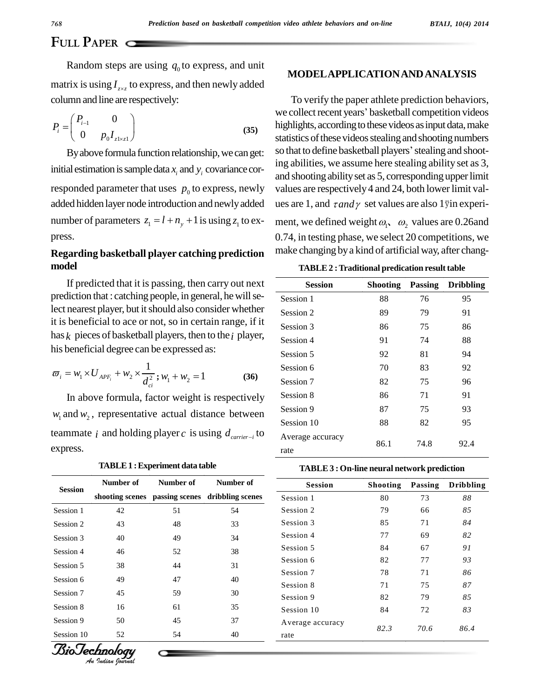**FULL PAPER**

Random steps are using  $q_0$  to express, and unit matrix is using  $I_{zxz}$  to express, and then newly added column and line are respectively:<br> $(P_1, Q_2)$ 

column and line are respectively:  
\n
$$
P_i = \begin{pmatrix} P_{i-1} & 0 \\ 0 & p_0 I_{z|xz1} \end{pmatrix}
$$
 (35)

initial estimation is sample data  $x_i$  and  $y_j$  covariance corresponded parameter that uses  $p_0$  to express, newly added hidden layer node introduction and newlyadded number of parameters  $z_1 = l + n_y + 1$  is using  $z_1$  to express.

#### **Regarding basketball player catching prediction model**

If predicted that it is passing, then carry out next prediction that : catching people, in general, he will select nearest player, but it should also consider whether it is beneficial to ace or not, so in certain range, if it has *k* pieces of basketball players, then to the*i* player,

his beneficial degree can be expressed as:  
\n
$$
\varpi_i = w_1 \times U_{APF_i} + w_2 \times \frac{1}{d_{ci}^2}; w_1 + w_2 = 1
$$
\n(36)

In above formula, factor weight is respectively  $w_1$  and  $w_2$ , representative actual distance between teammate *i* and holding player *c* is using  $d_{\text{carrier}-i}$  to Averag express.

| <b>TABLE 1 : Experiment data table</b> |  |
|----------------------------------------|--|
|----------------------------------------|--|

|                | Number of | Number of | Number of                                       |  |
|----------------|-----------|-----------|-------------------------------------------------|--|
| <b>Session</b> |           |           | shooting scenes passing scenes dribbling scenes |  |
| Session 1      | 42        | 51        | 54                                              |  |
| Session 2      | 43        | 48        | 33                                              |  |
| Session 3      | 40        | 49        | 34                                              |  |
| Session 4      | 46        | 52        | 38                                              |  |
| Session 5      | 38        | 44        | 31                                              |  |
| Session 6      | 49        | 47        | 40                                              |  |
| Session 7      | 45        | 59        | 30                                              |  |
| Session 8      | 16        | 61        | 35                                              |  |
| Session 9      | 50        | 45        | 37                                              |  |
| Session 10     | 52        | 54        | 40                                              |  |

*Indian Journal*

#### **MODELAPPLICATIONANDANALYSIS**

By above formula function relationship, we can get: so that to define basketball players' stealing and shoot-To verify the paper athlete prediction behaviors, we collect recent years' basketball competition videos highlights, according to these videos as input data, make statistics of these videos stealing and shooting numbers highlights, according to these videos as input data, make<br>statistics of these videos stealing and shooting numbers<br>so that to define basketball players' stealing and shooting abilities, we assume here stealing ability set as 3, and shooting ability set as 5, corresponding upper limit values are respectively 4 and 24, both lower limit values are 1, and  $\tau$ *and*  $\gamma$  set values are also 1 yin experiment, we defined weight  $\omega_1$ ,  $\omega_2$  values are 0.26and 0.74, in testing phase, we select 20 competitions, we make changing by a kind of artificial way, after chang-

| <b>TABLE 2: Traditional predication result table</b> |  |
|------------------------------------------------------|--|
|------------------------------------------------------|--|

| <b>Session</b>   | <b>Shooting</b> | <b>Passing</b> | <b>Dribbling</b> |
|------------------|-----------------|----------------|------------------|
| Session 1        | 88              | 76             | 95               |
| Session 2        | 89              | 79             | 91               |
| Session 3        | 86              | 75             | 86               |
| Session 4        | 91              | 74             | 88               |
| Session 5        | 92              | 81             | 94               |
| Session 6        | 70              | 83             | 92               |
| Session 7        | 82              | 75             | 96               |
| Session 8        | 86              | 71             | 91               |
| Session 9        | 87              | 75             | 93               |
| Session 10       | 88              | 82             | 95               |
| Average accuracy | 86.1            | 74.8           | 92.4             |
| rate             |                 |                |                  |

**TABLE3 : On-line neural network prediction**

| <b>Session</b>   | <b>Shooting</b> | Passing      | <b>Dribbling</b> |
|------------------|-----------------|--------------|------------------|
| Session 1        | 80              | 73           | 88               |
| Session 2        | 79              | 66           | 85               |
| Session 3        | 85              | 71           | 84               |
| Session 4        | 77              | 69           | 82               |
| Session 5        | 84              | 67           | 91               |
| Session 6        | 82              | 77           | 93               |
| Session 7        | 78              | 71           | 86               |
| Session 8        | 71              | 75           | 87               |
| Session 9        | 82              | 79           | 85               |
| Session 10       | 84              | 72           | 83               |
| Average accuracy |                 | 70.6<br>82.3 | 86.4             |
| rate             |                 |              |                  |